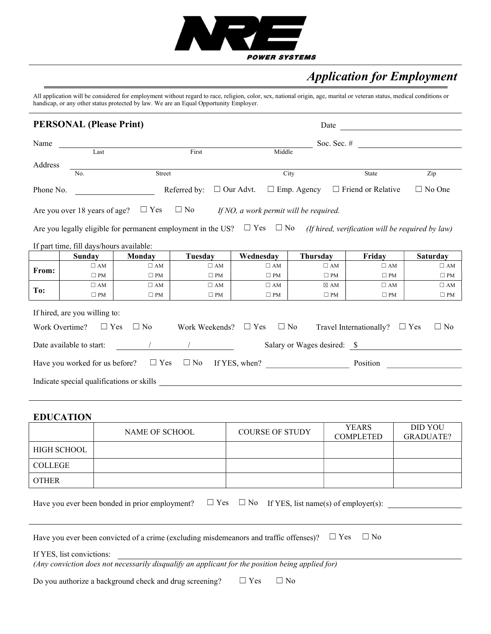

# Application for Employment

All application will be considered for employment without regard to race, religion, color, sex, national origin, age, marital or veteran status, medical conditions or handicap, or any other status protected by law. We are an Equal Opportunity Employer.

|           | <b>PERSONAL (Please Print)</b>           |              |                                                                                                                                                                                                                                                                                               |              | Date                                                          | <u> 1980 - Jan Barbara Barat, prima popula</u> |                         |
|-----------|------------------------------------------|--------------|-----------------------------------------------------------------------------------------------------------------------------------------------------------------------------------------------------------------------------------------------------------------------------------------------|--------------|---------------------------------------------------------------|------------------------------------------------|-------------------------|
| Name      |                                          |              |                                                                                                                                                                                                                                                                                               |              |                                                               | Soc. Sec. $\#$                                 |                         |
|           | Last                                     |              | First                                                                                                                                                                                                                                                                                         | Middle       |                                                               |                                                |                         |
| Address   |                                          |              |                                                                                                                                                                                                                                                                                               |              |                                                               |                                                |                         |
|           | No.                                      | Street       |                                                                                                                                                                                                                                                                                               |              | City                                                          | State                                          | Zip                     |
| Phone No. |                                          |              | Referred by:                                                                                                                                                                                                                                                                                  |              | $\Box$ Our Advt. $\Box$ Emp. Agency $\Box$ Friend or Relative |                                                | $\Box$ No One           |
|           |                                          |              | Are you over 18 years of age? $\square$ Yes $\square$ No If NO, a work permit will be required.                                                                                                                                                                                               |              |                                                               |                                                |                         |
|           |                                          |              | Are you legally eligible for permanent employment in the US? $\square$ Yes $\square$ No (If hired, verification will be required by law)                                                                                                                                                      |              |                                                               |                                                |                         |
|           | If part time, fill days/hours available: |              |                                                                                                                                                                                                                                                                                               |              |                                                               |                                                |                         |
|           | <b>Sunday</b>                            | Monday       | Tuesday                                                                                                                                                                                                                                                                                       | Wednesday    | Thursday                                                      | Friday                                         | <b>Saturday</b>         |
| From:     | $\square$ AM                             | $\square$ AM | $\square$ AM                                                                                                                                                                                                                                                                                  | $\square$ AM | $\square$ AM                                                  | $\square$ AM                                   | $\square$ AM            |
|           | $\Box$ PM                                | $\square$ PM | $\square$ PM                                                                                                                                                                                                                                                                                  | $\square$ PM | $\square$ PM                                                  | $\square$ PM                                   | $\square$ PM            |
| To:       | $\square$ AM                             | $\Box$ AM    | $\square$ AM                                                                                                                                                                                                                                                                                  | $\square$ AM | $\boxtimes$ AM                                                | $\square$ AM                                   | $\square$ AM            |
|           | $\square$ PM                             | $\square$ PM | $\Box$ PM                                                                                                                                                                                                                                                                                     | $\square$ PM | $\square$ PM                                                  | $\square$ PM                                   | $\Box$ PM               |
|           | If hired, are you willing to:            |              |                                                                                                                                                                                                                                                                                               |              |                                                               |                                                |                         |
|           | $\Box$ Yes<br>Work Overtime?             | $\square$ No | Work Weekends? $\square$ Yes                                                                                                                                                                                                                                                                  | $\Box$ No    |                                                               | Travel Internationally?                        | $\Box$ No<br>$\Box$ Yes |
|           | Date available to start:                 |              | $\frac{1}{2}$ and $\frac{1}{2}$ and $\frac{1}{2}$ and $\frac{1}{2}$ and $\frac{1}{2}$ and $\frac{1}{2}$ and $\frac{1}{2}$ and $\frac{1}{2}$ and $\frac{1}{2}$ and $\frac{1}{2}$ and $\frac{1}{2}$ and $\frac{1}{2}$ and $\frac{1}{2}$ and $\frac{1}{2}$ and $\frac{1}{2}$ and $\frac{1}{2}$ a |              |                                                               |                                                |                         |
|           |                                          |              | Have you worked for us before? $\square$ Yes $\square$ No If YES, when?                                                                                                                                                                                                                       |              |                                                               |                                                |                         |
|           |                                          |              |                                                                                                                                                                                                                                                                                               |              |                                                               |                                                |                         |

#### EDUCATION

|              | NAME OF SCHOOL | <b>COURSE OF STUDY</b> | <b>YEARS</b><br><b>COMPLETED</b> | <b>DID YOU</b><br><b>GRADUATE?</b> |
|--------------|----------------|------------------------|----------------------------------|------------------------------------|
| HIGH SCHOOL  |                |                        |                                  |                                    |
| COLLEGE      |                |                        |                                  |                                    |
| <b>OTHER</b> |                |                        |                                  |                                    |

| Have you ever been bonded in prior employment? $\square$ Yes $\square$ No If YES, list name(s) of employer(s): |  |  |  |
|----------------------------------------------------------------------------------------------------------------|--|--|--|
|----------------------------------------------------------------------------------------------------------------|--|--|--|

Have you ever been convicted of a crime (excluding misdemeanors and traffic offenses)?  $\Box$  Yes  $\Box$  No

If YES, list convictions:

(Any conviction does not necessarily disqualify an applicant for the position being applied for)

Do you authorize a background check and drug screening?  $□$  Yes  $□$  No